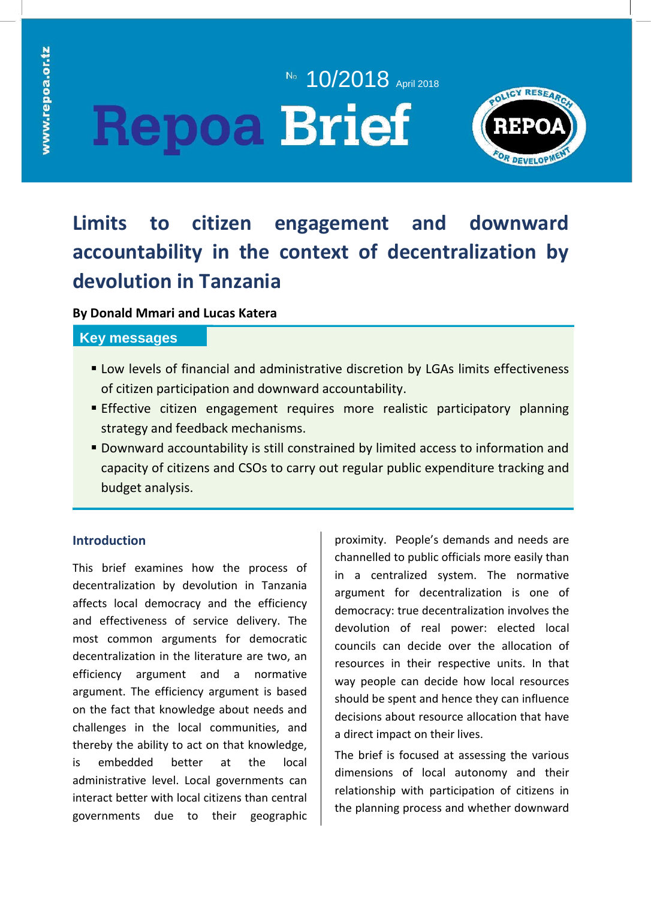# No. 10/2018 April 2018 **Repoa Brief**



## **Limits to citizen engagement and downward accountability in the context of decentralization by devolution in Tanzania**

### **By Donald Mmari and Lucas Katera**

### **Key messages**

- **EX Low levels of financial and administrative discretion by LGAs limits effectiveness** of citizen participation and downward accountability.
- **Effective citizen engagement requires more realistic participatory planning** strategy and feedback mechanisms.
- Downward accountability is still constrained by limited access to information and capacity of citizens and CSOs to carry out regular public expenditure tracking and budget analysis.

## **Introduction**

This brief examines how the process of decentralization by devolution in Tanzania affects local democracy and the efficiency and effectiveness of service delivery. The most common arguments for democratic decentralization in the literature are two, an efficiency argument and a normative argument. The efficiency argument is based on the fact that knowledge about needs and challenges in the local communities, and thereby the ability to act on that knowledge, is embedded better at the local administrative level. Local governments can interact better with local citizens than central governments due to their geographic

proximity. People's demands and needs are channelled to public officials more easily than in a centralized system. The normative argument for decentralization is one of democracy: true decentralization involves the devolution of real power: elected local councils can decide over the allocation of resources in their respective units. In that way people can decide how local resources should be spent and hence they can influence decisions about resource allocation that have a direct impact on their lives.

The brief is focused at assessing the various dimensions of local autonomy and their relationship with participation of citizens in the planning process and whether downward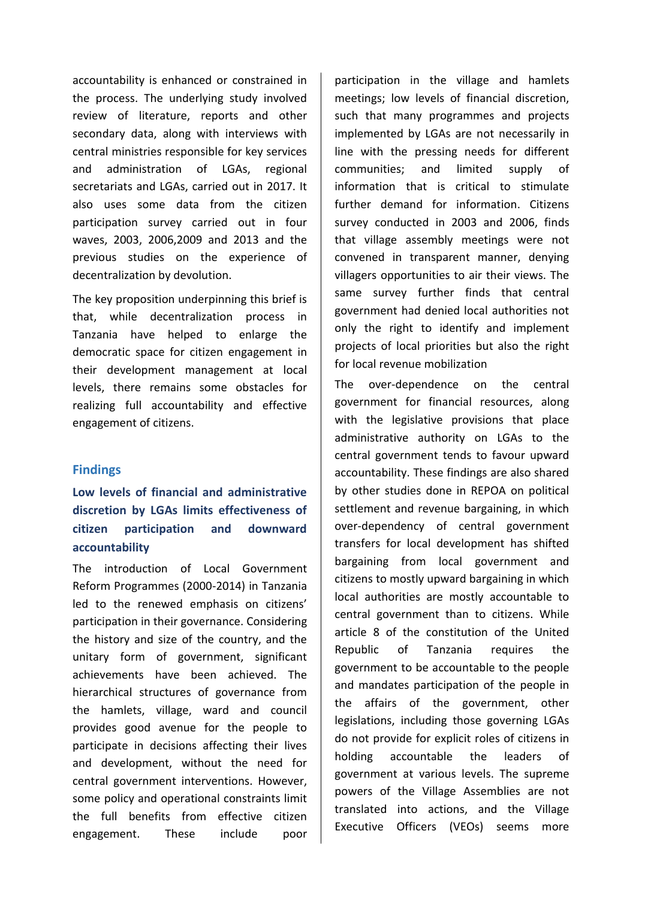accountability is enhanced or constrained in the process. The underlying study involved review of literature, reports and other secondary data, along with interviews with central ministries responsible for key services and administration of LGAs, regional secretariats and LGAs, carried out in 2017. It also uses some data from the citizen participation survey carried out in four waves, 2003, 2006,2009 and 2013 and the previous studies on the experience of decentralization by devolution.

The key proposition underpinning this brief is that, while decentralization process in Tanzania have helped to enlarge the democratic space for citizen engagement in their development management at local levels, there remains some obstacles for realizing full accountability and effective engagement of citizens.

#### **Findings**

## **Low levels of financial and administrative discretion by LGAs limits effectiveness of citizen participation and downward accountability**

The introduction of Local Government Reform Programmes (2000-2014) in Tanzania led to the renewed emphasis on citizens' participation in their governance. Considering the history and size of the country, and the unitary form of government, significant achievements have been achieved. The hierarchical structures of governance from the hamlets, village, ward and council provides good avenue for the people to participate in decisions affecting their lives and development, without the need for central government interventions. However, some policy and operational constraints limit the full benefits from effective citizen engagement. These include poor

participation in the village and hamlets meetings; low levels of financial discretion, such that many programmes and projects implemented by LGAs are not necessarily in line with the pressing needs for different communities; and limited supply of information that is critical to stimulate further demand for information. Citizens survey conducted in 2003 and 2006, finds that village assembly meetings were not convened in transparent manner, denying villagers opportunities to air their views. The same survey further finds that central government had denied local authorities not only the right to identify and implement projects of local priorities but also the right for local revenue mobilization

The over-dependence on the central government for financial resources, along with the legislative provisions that place administrative authority on LGAs to the central government tends to favour upward accountability. These findings are also shared by other studies done in REPOA on political settlement and revenue bargaining, in which over-dependency of central government transfers for local development has shifted bargaining from local government and citizens to mostly upward bargaining in which local authorities are mostly accountable to central government than to citizens. While article 8 of the constitution of the United Republic of Tanzania requires the government to be accountable to the people and mandates participation of the people in the affairs of the government, other legislations, including those governing LGAs do not provide for explicit roles of citizens in holding accountable the leaders of government at various levels. The supreme powers of the Village Assemblies are not translated into actions, and the Village Executive Officers (VEOs) seems more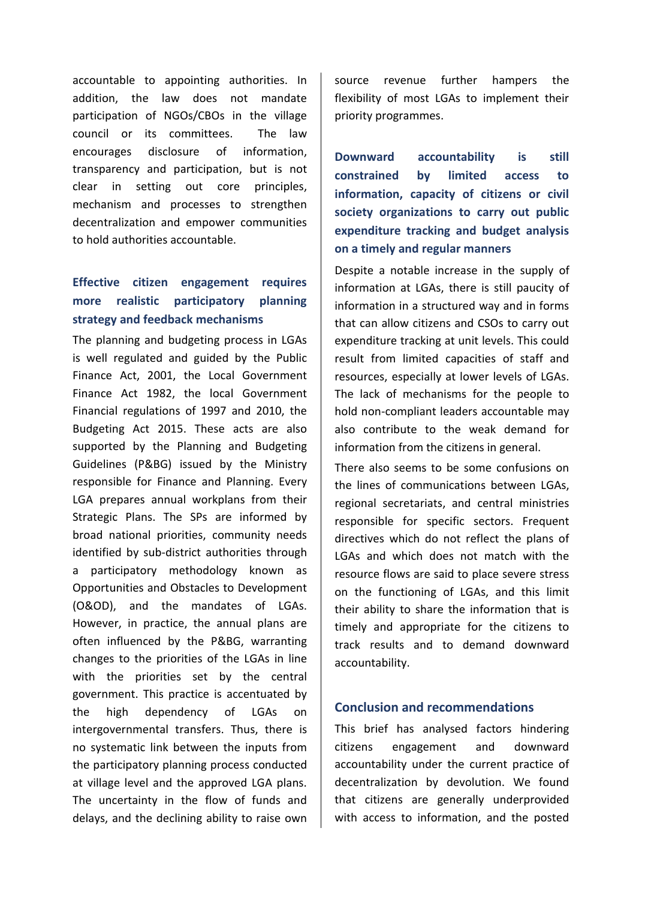accountable to appointing authorities. In addition, the law does not mandate participation of NGOs/CBOs in the village council or its committees. The law encourages disclosure of information, transparency and participation, but is not clear in setting out core principles, mechanism and processes to strengthen decentralization and empower communities to hold authorities accountable.

## **Effective citizen engagement requires more realistic participatory planning strategy and feedback mechanisms**

The planning and budgeting process in LGAs is well regulated and guided by the Public Finance Act, 2001, the Local Government Finance Act 1982, the local Government Financial regulations of 1997 and 2010, the Budgeting Act 2015. These acts are also supported by the Planning and Budgeting Guidelines (P&BG) issued by the Ministry responsible for Finance and Planning. Every LGA prepares annual workplans from their Strategic Plans. The SPs are informed by broad national priorities, community needs identified by sub-district authorities through a participatory methodology known as Opportunities and Obstacles to Development (O&OD), and the mandates of LGAs. However, in practice, the annual plans are often influenced by the P&BG, warranting changes to the priorities of the LGAs in line with the priorities set by the central government. This practice is accentuated by the high dependency of LGAs on intergovernmental transfers. Thus, there is no systematic link between the inputs from the participatory planning process conducted at village level and the approved LGA plans. The uncertainty in the flow of funds and delays, and the declining ability to raise own

source revenue further hampers the flexibility of most LGAs to implement their priority programmes.

**Downward accountability is still constrained by limited access to information, capacity of citizens or civil society organizations to carry out public expenditure tracking and budget analysis on a timely and regular manners**

Despite a notable increase in the supply of information at LGAs, there is still paucity of information in a structured way and in forms that can allow citizens and CSOs to carry out expenditure tracking at unit levels. This could result from limited capacities of staff and resources, especially at lower levels of LGAs. The lack of mechanisms for the people to hold non-compliant leaders accountable may also contribute to the weak demand for information from the citizens in general.

There also seems to be some confusions on the lines of communications between LGAs, regional secretariats, and central ministries responsible for specific sectors. Frequent directives which do not reflect the plans of LGAs and which does not match with the resource flows are said to place severe stress on the functioning of LGAs, and this limit their ability to share the information that is timely and appropriate for the citizens to track results and to demand downward accountability.

#### **Conclusion and recommendations**

This brief has analysed factors hindering citizens engagement and downward accountability under the current practice of decentralization by devolution. We found that citizens are generally underprovided with access to information, and the posted